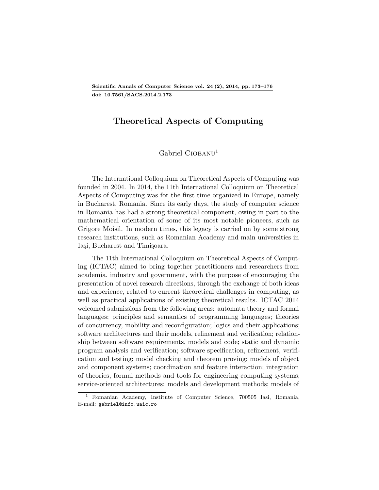## Theoretical Aspects of Computing

## $Gabriel$  CIOBANU<sup>[1](#page-0-0)</sup>

The International Colloquium on Theoretical Aspects of Computing was founded in 2004. In 2014, the 11th International Colloquium on Theoretical Aspects of Computing was for the first time organized in Europe, namely in Bucharest, Romania. Since its early days, the study of computer science in Romania has had a strong theoretical component, owing in part to the mathematical orientation of some of its most notable pioneers, such as Grigore Moisil. In modern times, this legacy is carried on by some strong research institutions, such as Romanian Academy and main universities in Iasi, Bucharest and Timisoara.

The 11th International Colloquium on Theoretical Aspects of Computing (ICTAC) aimed to bring together practitioners and researchers from academia, industry and government, with the purpose of encouraging the presentation of novel research directions, through the exchange of both ideas and experience, related to current theoretical challenges in computing, as well as practical applications of existing theoretical results. ICTAC 2014 welcomed submissions from the following areas: automata theory and formal languages; principles and semantics of programming languages; theories of concurrency, mobility and reconfiguration; logics and their applications; software architectures and their models, refinement and verification; relationship between software requirements, models and code; static and dynamic program analysis and verification; software specification, refinement, verification and testing; model checking and theorem proving; models of object and component systems; coordination and feature interaction; integration of theories, formal methods and tools for engineering computing systems; service-oriented architectures: models and development methods; models of

<span id="page-0-0"></span><sup>1</sup> Romanian Academy, Institute of Computer Science, 700505 Iasi, Romania, E-mail: gabriel@info.uaic.ro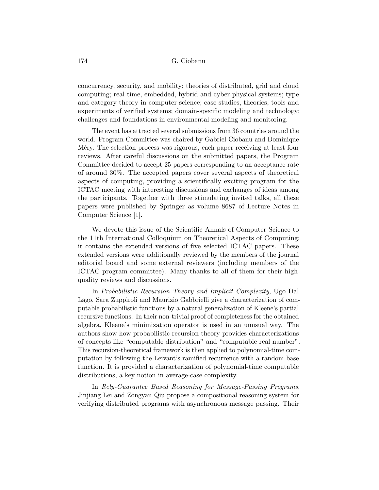concurrency, security, and mobility; theories of distributed, grid and cloud computing; real-time, embedded, hybrid and cyber-physical systems; type and category theory in computer science; case studies, theories, tools and experiments of verified systems; domain-specific modeling and technology; challenges and foundations in environmental modeling and monitoring.

The event has attracted several submissions from 36 countries around the world. Program Committee was chaired by Gabriel Ciobanu and Dominique M<sub>ery</sub>. The selection process was rigorous, each paper receiving at least four reviews. After careful discussions on the submitted papers, the Program Committee decided to accept 25 papers corresponding to an acceptance rate of around 30%. The accepted papers cover several aspects of theoretical aspects of computing, providing a scientifically exciting program for the ICTAC meeting with interesting discussions and exchanges of ideas among the participants. Together with three stimulating invited talks, all these papers were published by Springer as volume 8687 of Lecture Notes in Computer Science [1].

We devote this issue of the Scientific Annals of Computer Science to the 11th International Colloquium on Theoretical Aspects of Computing; it contains the extended versions of five selected ICTAC papers. These extended versions were additionally reviewed by the members of the journal editorial board and some external reviewers (including members of the ICTAC program committee). Many thanks to all of them for their highquality reviews and discussions.

In Probabilistic Recursion Theory and Implicit Complexity, Ugo Dal Lago, Sara Zuppiroli and Maurizio Gabbrielli give a characterization of computable probabilistic functions by a natural generalization of Kleene's partial recursive functions. In their non-trivial proof of completeness for the obtained algebra, Kleene's minimization operator is used in an unusual way. The authors show how probabilistic recursion theory provides characterizations of concepts like "computable distribution" and "computable real number". This recursion-theoretical framework is then applied to polynomial-time computation by following the Leivant's ramified recurrence with a random base function. It is provided a characterization of polynomial-time computable distributions, a key notion in average-case complexity.

In Rely-Guarantee Based Reasoning for Message-Passing Programs, Jinjiang Lei and Zongyan Qiu propose a compositional reasoning system for verifying distributed programs with asynchronous message passing. Their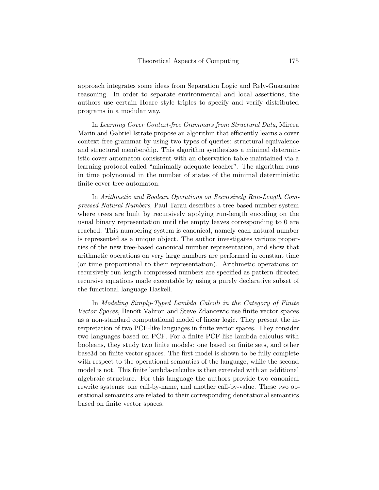approach integrates some ideas from Separation Logic and Rely-Guarantee reasoning. In order to separate environmental and local assertions, the authors use certain Hoare style triples to specify and verify distributed programs in a modular way.

In Learning Cover Context-free Grammars from Structural Data, Mircea Marin and Gabriel Istrate propose an algorithm that efficiently learns a cover context-free grammar by using two types of queries: structural equivalence and structural membership. This algorithm synthesizes a minimal deterministic cover automaton consistent with an observation table maintained via a learning protocol called "minimally adequate teacher". The algorithm runs in time polynomial in the number of states of the minimal deterministic finite cover tree automaton.

In Arithmetic and Boolean Operations on Recursively Run-Length Compressed Natural Numbers, Paul Tarau describes a tree-based number system where trees are built by recursively applying run-length encoding on the usual binary representation until the empty leaves corresponding to 0 are reached. This numbering system is canonical, namely each natural number is represented as a unique object. The author investigates various properties of the new tree-based canonical number representation, and show that arithmetic operations on very large numbers are performed in constant time (or time proportional to their representation). Arithmetic operations on recursively run-length compressed numbers are specified as pattern-directed recursive equations made executable by using a purely declarative subset of the functional language Haskell.

In Modeling Simply-Typed Lambda Calculi in the Category of Finite Vector Spaces, Benoît Valiron and Steve Zdancewic use finite vector spaces as a non-standard computational model of linear logic. They present the interpretation of two PCF-like languages in finite vector spaces. They consider two languages based on PCF. For a finite PCF-like lambda-calculus with booleans, they study two finite models: one based on finite sets, and other base3d on finite vector spaces. The first model is shown to be fully complete with respect to the operational semantics of the language, while the second model is not. This finite lambda-calculus is then extended with an additional algebraic structure. For this language the authors provide two canonical rewrite systems: one call-by-name, and another call-by-value. These two operational semantics are related to their corresponding denotational semantics based on finite vector spaces.